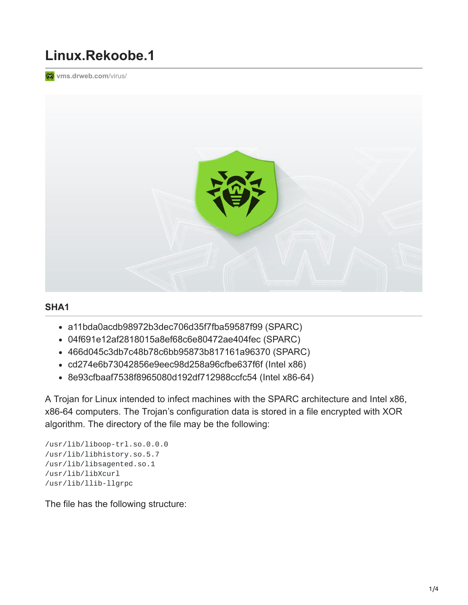## **Linux.Rekoobe.1**

**[vms.drweb.com](https://vms.drweb.com/virus/?i=7754026&lng=en)/virus/** 



## **SHA1**

- a11bda0acdb98972b3dec706d35f7fba59587f99 (SPARC)
- 04f691e12af2818015a8ef68c6e80472ae404fec (SPARC)
- 466d045c3db7c48b78c6bb95873b817161a96370 (SPARC)
- cd274e6b73042856e9eec98d258a96cfbe637f6f (Intel x86)
- 8e93cfbaaf7538f8965080d192df712988ccfc54 (Intel x86-64)

A Trojan for Linux intended to infect machines with the SPARC architecture and Intel x86, x86-64 computers. The Trojan's configuration data is stored in a file encrypted with XOR algorithm. The directory of the file may be the following:

```
/usr/lib/liboop-trl.so.0.0.0
/usr/lib/libhistory.so.5.7
/usr/lib/libsagented.so.1
/usr/lib/libXcurl
/usr/lib/llib-llgrpc
```
The file has the following structure: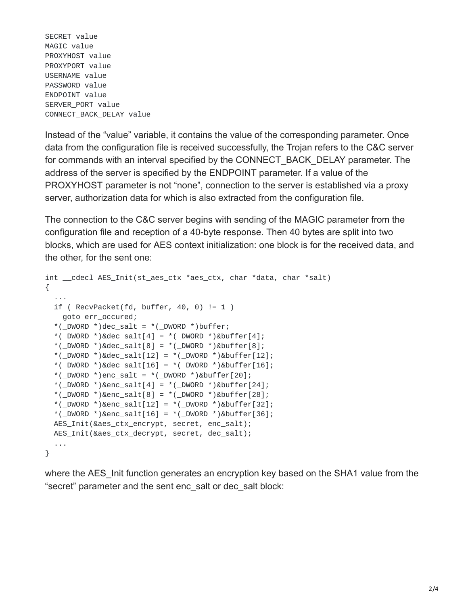SECRET value MAGIC value PROXYHOST value PROXYPORT value USERNAME value PASSWORD value ENDPOINT value SERVER\_PORT value CONNECT\_BACK\_DELAY value

Instead of the "value" variable, it contains the value of the corresponding parameter. Once data from the configuration file is received successfully, the Trojan refers to the C&C server for commands with an interval specified by the CONNECT\_BACK\_DELAY parameter. The address of the server is specified by the ENDPOINT parameter. If a value of the PROXYHOST parameter is not "none", connection to the server is established via a proxy server, authorization data for which is also extracted from the configuration file.

The connection to the C&C server begins with sending of the MAGIC parameter from the configuration file and reception of a 40-byte response. Then 40 bytes are split into two blocks, which are used for AES context initialization: one block is for the received data, and the other, for the sent one:

```
int __cdecl AES_Init(st_aes_ctx *aes_ctx, char *data, char *salt)
{
  ...
  if ( RecvPacket(fd, buffer, 40, 0) != 1)goto err_occured;
  *(\text{LOWORD *})dec\_salt = *(\text{LOWORD *})buffer;*(\text{LWWORD} *)\&\text{dec}\_\text{salt}[4] = *(\text{LWWORD} *)\&\text{buffer}[4];*(\text{LWWORD} *)\&\text{dec}\_\text{salt}[8] = *(\text{LWWORD} *)\&\text{buffer}[8];*(_DWORD *)&dec_salt[12] = *(_DWORD *)&buffer[12];
  *(_DWORD *)&dec_salt[16] = *(_DWORD *)&buffer[16];
  *(\text{_DWORD *})enc_salt = *(\text{_DWORD *})&buffer[20];
  *(\text{LWWORD} * \text{) \&\text{enc}\_\text{salt}[4] = *(\text{LWWORD} * \text{) \&\text{buffer}[24];*(\text{_DWORD *})&enc_salt[8] = *(\text{_DWORD *})&buffer[28];
  *(_DWORD *)&enc_salt[12] = *(_DWORD *)&buffer[32];
  *(_DWORD *)&enc_salt[16] = *(_DWORD *)&buffer[36];
  AES_Init(&aes_ctx_encrypt, secret, enc_salt);
  AES_Init(&aes_ctx_decrypt, secret, dec_salt);
  ...
}
```
where the AES Init function generates an encryption key based on the SHA1 value from the "secret" parameter and the sent enc\_salt or dec\_salt block: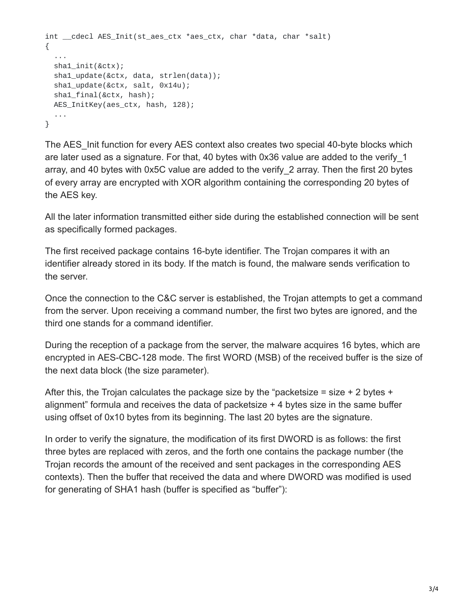```
int __cdecl AES_Init(st_aes_ctx *aes_ctx, char *data, char *salt)
{
  ...
  sha1_init(&ctx);
  sha1_update(&ctx, data, strlen(data));
  sha1_update(&ctx, salt, 0x14u);
  sha1_final(&ctx, hash);
 AES_InitKey(aes_ctx, hash, 128);
  ...
}
```
The AES Init function for every AES context also creates two special 40-byte blocks which are later used as a signature. For that, 40 bytes with 0x36 value are added to the verify\_1 array, and 40 bytes with 0x5C value are added to the verify\_2 array. Then the first 20 bytes of every array are encrypted with XOR algorithm containing the corresponding 20 bytes of the AES key.

All the later information transmitted either side during the established connection will be sent as specifically formed packages.

The first received package contains 16-byte identifier. The Trojan compares it with an identifier already stored in its body. If the match is found, the malware sends verification to the server.

Once the connection to the C&C server is established, the Trojan attempts to get a command from the server. Upon receiving a command number, the first two bytes are ignored, and the third one stands for a command identifier.

During the reception of a package from the server, the malware acquires 16 bytes, which are encrypted in AES-CBC-128 mode. The first WORD (MSB) of the received buffer is the size of the next data block (the size parameter).

After this, the Trojan calculates the package size by the "packetsize = size + 2 bytes + alignment" formula and receives the data of packetsize + 4 bytes size in the same buffer using offset of 0x10 bytes from its beginning. The last 20 bytes are the signature.

In order to verify the signature, the modification of its first DWORD is as follows: the first three bytes are replaced with zeros, and the forth one contains the package number (the Trojan records the amount of the received and sent packages in the corresponding AES contexts). Then the buffer that received the data and where DWORD was modified is used for generating of SHA1 hash (buffer is specified as "buffer"):